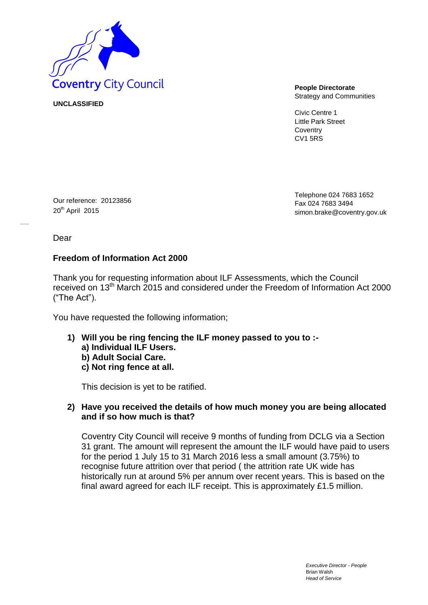

**UNCLASSIFIED**

Strategy and Communities

Civic Centre 1 Little Park Street **Coventry** CV1 5RS

Our reference: 20123856 20<sup>th</sup> April 2015

Telephone 024 7683 1652 Fax 024 7683 349[4](mailto:simon.brake@coventry.gov.uk) [simon.brake@coventry.gov.uk](mailto:simon.brake@coventry.gov.uk)

Dear

# **Freedom of Information Act 2000**

Thank you for requesting information about ILF Assessments, which the Council received on 13th March 2015 and considered under the Freedom of Information Act 2000 ("The Act").

You have requested the following information;

**1) Will you be ring fencing the ILF money passed to you to : a) Individual ILF Users. b) Adult Social Care. c) Not ring fence at all.** 

This decision is yet to be ratified.

## **2) Have you received the details of how much money you are being allocated and if so how much is that?**

Coventry City Council will receive 9 months of funding from DCLG via a Section 31 grant. The amount will represent the amount the ILF would have paid to users for the period 1 July 15 to 31 March 2016 less a small amount (3.75%) to recognise future attrition over that period ( the attrition rate UK wide has historically run at around 5% per annum over recent years. This is based on the final award agreed for each ILF receipt. This is approximately £1.5 million.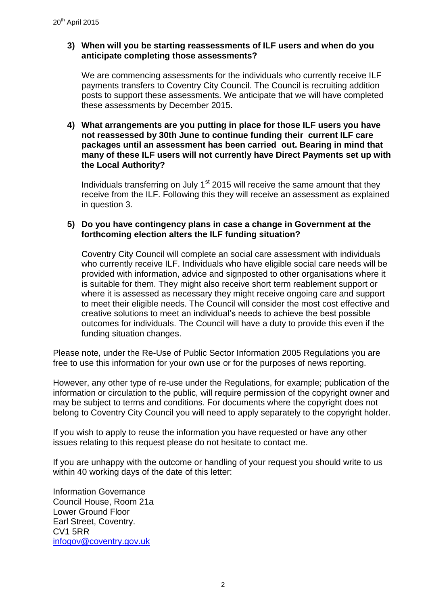# **3) When will you be starting reassessments of ILF users and when do you anticipate completing those assessments?**

We are commencing assessments for the individuals who currently receive ILF payments transfers to Coventry City Council. The Council is recruiting addition posts to support these assessments. We anticipate that we will have completed these assessments by December 2015.

#### **4) What arrangements are you putting in place for those ILF users you have not reassessed by 30th June to continue funding their current ILF care packages until an assessment has been carried out. Bearing in mind that many of these ILF users will not currently have Direct Payments set up with the Local Authority?**

Individuals transferring on July  $1<sup>st</sup>$  2015 will receive the same amount that they receive from the ILF. Following this they will receive an assessment as explained in question 3.

## **5) Do you have contingency plans in case a change in Government at the forthcoming election alters the ILF funding situation?**

Coventry City Council will complete an social care assessment with individuals who currently receive ILF. Individuals who have eligible social care needs will be provided with information, advice and signposted to other organisations where it is suitable for them. They might also receive short term reablement support or where it is assessed as necessary they might receive ongoing care and support to meet their eligible needs. The Council will consider the most cost effective and creative solutions to meet an individual's needs to achieve the best possible outcomes for individuals. The Council will have a duty to provide this even if the funding situation changes.

Please note, under the Re-Use of Public Sector Information 2005 Regulations you are free to use this information for your own use or for the purposes of news reporting.

However, any other type of re-use under the Regulations, for example; publication of the information or circulation to the public, will require permission of the copyright owner and may be subject to terms and conditions. For documents where the copyright does not belong to Coventry City Council you will need to apply separately to the copyright holder.

If you wish to apply to reuse the information you have requested or have any other issues relating to this request please do not hesitate to contact me.

If you are unhappy with the outcome or handling of your request you should write to us within 40 working days of the date of this letter:

Information Governance Council House, Room 21a Lower Ground Floor Earl Street, Coventry. CV1 5RR [infogov@coventry.gov.uk](mailto:infogov@coventry.gov.uk)